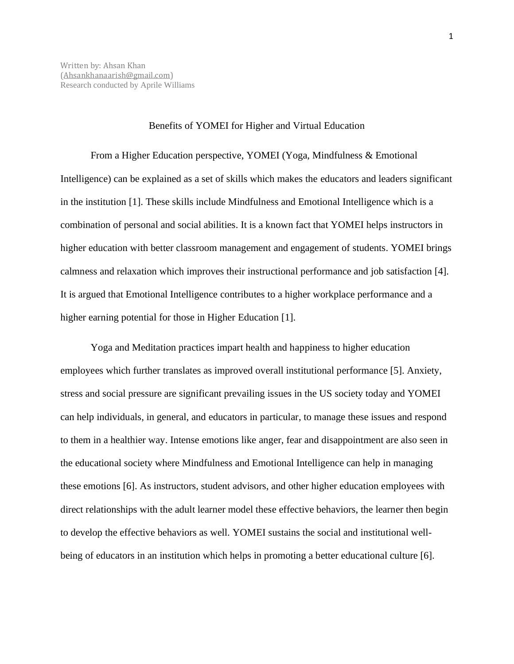## Benefits of YOMEI for Higher and Virtual Education

From a Higher Education perspective, YOMEI (Yoga, Mindfulness & Emotional Intelligence) can be explained as a set of skills which makes the educators and leaders significant in the institution [1]. These skills include Mindfulness and Emotional Intelligence which is a combination of personal and social abilities. It is a known fact that YOMEI helps instructors in higher education with better classroom management and engagement of students. YOMEI brings calmness and relaxation which improves their instructional performance and job satisfaction [4]. It is argued that Emotional Intelligence contributes to a higher workplace performance and a higher earning potential for those in Higher Education [1].

Yoga and Meditation practices impart health and happiness to higher education employees which further translates as improved overall institutional performance [5]. Anxiety, stress and social pressure are significant prevailing issues in the US society today and YOMEI can help individuals, in general, and educators in particular, to manage these issues and respond to them in a healthier way. Intense emotions like anger, fear and disappointment are also seen in the educational society where Mindfulness and Emotional Intelligence can help in managing these emotions [6]. As instructors, student advisors, and other higher education employees with direct relationships with the adult learner model these effective behaviors, the learner then begin to develop the effective behaviors as well. YOMEI sustains the social and institutional wellbeing of educators in an institution which helps in promoting a better educational culture [6].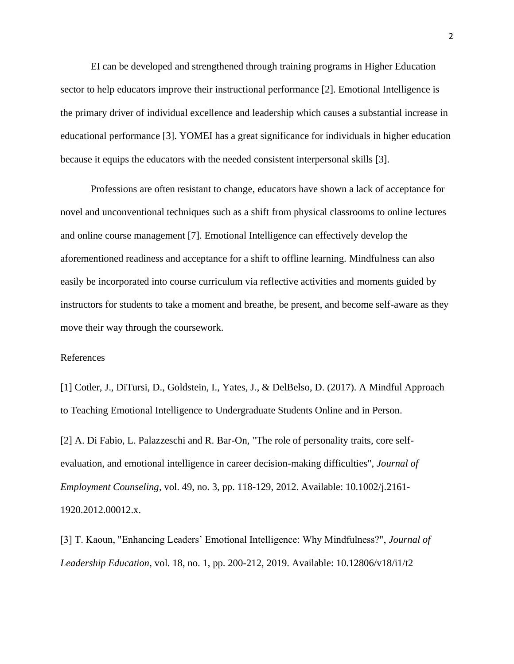EI can be developed and strengthened through training programs in Higher Education sector to help educators improve their instructional performance [2]. Emotional Intelligence is the primary driver of individual excellence and leadership which causes a substantial increase in educational performance [3]. YOMEI has a great significance for individuals in higher education because it equips the educators with the needed consistent interpersonal skills [3].

Professions are often resistant to change, educators have shown a lack of acceptance for novel and unconventional techniques such as a shift from physical classrooms to online lectures and online course management [7]. Emotional Intelligence can effectively develop the aforementioned readiness and acceptance for a shift to offline learning. Mindfulness can also easily be incorporated into course curriculum via reflective activities and moments guided by instructors for students to take a moment and breathe, be present, and become self-aware as they move their way through the coursework.

## References

[1] Cotler, J., DiTursi, D., Goldstein, I., Yates, J., & DelBelso, D. (2017). A Mindful Approach to Teaching Emotional Intelligence to Undergraduate Students Online and in Person.

[2] A. Di Fabio, L. Palazzeschi and R. Bar-On, "The role of personality traits, core selfevaluation, and emotional intelligence in career decision-making difficulties", *Journal of Employment Counseling*, vol. 49, no. 3, pp. 118-129, 2012. Available: 10.1002/j.2161- 1920.2012.00012.x.

[3] T. Kaoun, "Enhancing Leaders' Emotional Intelligence: Why Mindfulness?", *Journal of Leadership Education*, vol. 18, no. 1, pp. 200-212, 2019. Available: 10.12806/v18/i1/t2